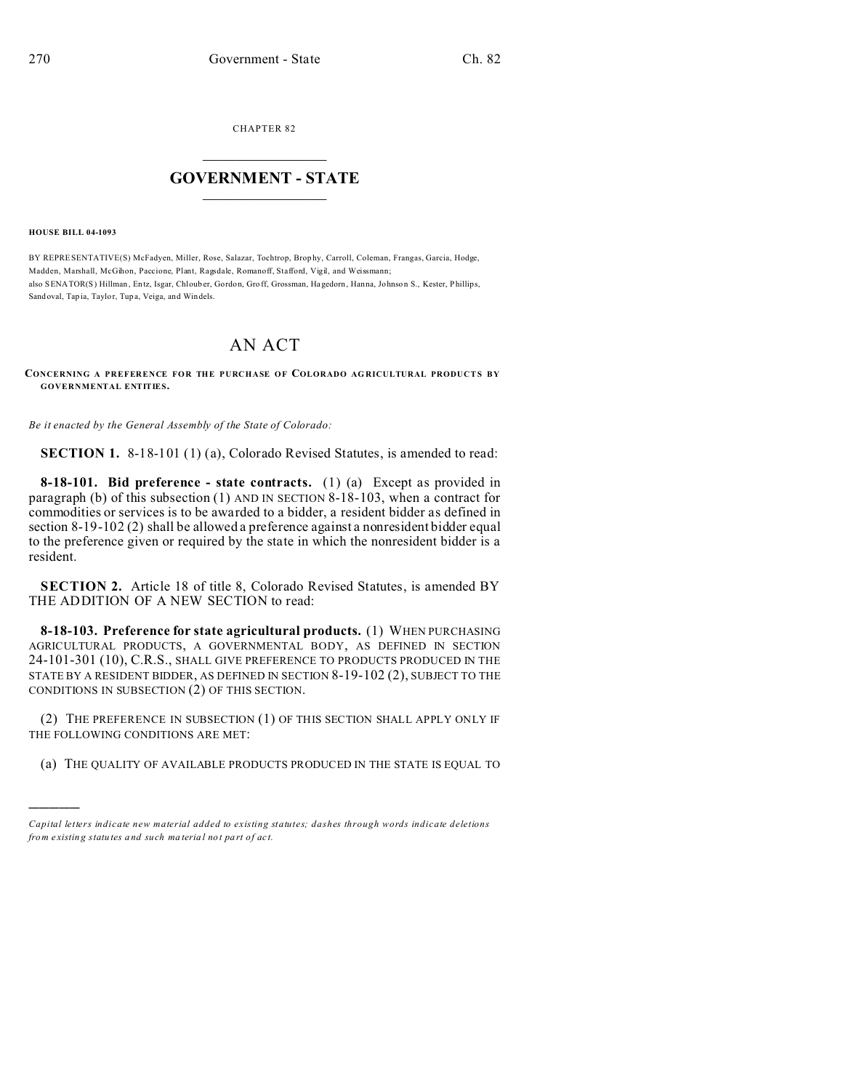CHAPTER 82  $\overline{\phantom{a}}$  , where  $\overline{\phantom{a}}$ 

## **GOVERNMENT - STATE**  $\_$   $\_$   $\_$   $\_$   $\_$   $\_$   $\_$   $\_$   $\_$

**HOUSE BILL 04-1093**

)))))

BY REPRESENTATIVE(S) McFadyen, Miller, Rose, Salazar, Tochtrop, Brop hy, Carroll, Coleman, Frangas, Garcia, Hodge, Madden, Marshall, McGihon, Paccione, Plant, Ragsdale, Romanoff, Stafford, Vigil, and Weissmann; also SENATOR(S) Hillman, Entz, Isgar, Chlouber, Gordon, Groff, Grossman, Hagedorn, Hanna, Johnson S., Kester, Phillips, Sand oval, Tap ia, Taylor, Tup a, Veiga, and Windels.

## AN ACT

## **CONCERNING A PREFERENCE FOR THE PURCHASE OF COLORADO AG RICULTURAL PRODUCTS B Y GOVERNMENTAL ENTITIES.**

*Be it enacted by the General Assembly of the State of Colorado:*

**SECTION 1.** 8-18-101 (1) (a), Colorado Revised Statutes, is amended to read:

**8-18-101. Bid preference - state contracts.** (1) (a) Except as provided in paragraph (b) of this subsection (1) AND IN SECTION 8-18-103, when a contract for commodities or services is to be awarded to a bidder, a resident bidder as defined in section 8-19-102 (2) shall be allowed a preference against a nonresident bidder equal to the preference given or required by the state in which the nonresident bidder is a resident.

**SECTION 2.** Article 18 of title 8, Colorado Revised Statutes, is amended BY THE ADDITION OF A NEW SECTION to read:

**8-18-103. Preference for state agricultural products.** (1) WHEN PURCHASING AGRICULTURAL PRODUCTS, A GOVERNMENTAL BODY, AS DEFINED IN SECTION 24-101-301 (10), C.R.S., SHALL GIVE PREFERENCE TO PRODUCTS PRODUCED IN THE STATE BY A RESIDENT BIDDER, AS DEFINED IN SECTION 8-19-102 (2), SUBJECT TO THE CONDITIONS IN SUBSECTION (2) OF THIS SECTION.

(2) THE PREFERENCE IN SUBSECTION (1) OF THIS SECTION SHALL APPLY ONLY IF THE FOLLOWING CONDITIONS ARE MET:

(a) THE QUALITY OF AVAILABLE PRODUCTS PRODUCED IN THE STATE IS EQUAL TO

*Capital letters indicate new material added to existing statutes; dashes through words indicate deletions from e xistin g statu tes a nd such ma teria l no t pa rt of ac t.*